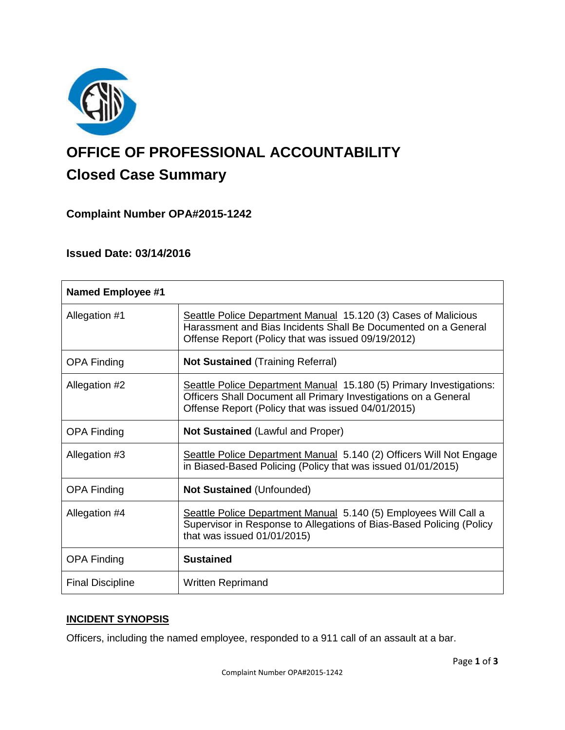

# **OFFICE OF PROFESSIONAL ACCOUNTABILITY Closed Case Summary**

# **Complaint Number OPA#2015-1242**

## **Issued Date: 03/14/2016**

| <b>Named Employee #1</b> |                                                                                                                                                                                              |
|--------------------------|----------------------------------------------------------------------------------------------------------------------------------------------------------------------------------------------|
| Allegation #1            | Seattle Police Department Manual 15.120 (3) Cases of Malicious<br>Harassment and Bias Incidents Shall Be Documented on a General<br>Offense Report (Policy that was issued 09/19/2012)       |
| <b>OPA Finding</b>       | <b>Not Sustained (Training Referral)</b>                                                                                                                                                     |
| Allegation #2            | Seattle Police Department Manual 15.180 (5) Primary Investigations:<br>Officers Shall Document all Primary Investigations on a General<br>Offense Report (Policy that was issued 04/01/2015) |
| <b>OPA Finding</b>       | <b>Not Sustained (Lawful and Proper)</b>                                                                                                                                                     |
| Allegation #3            | Seattle Police Department Manual 5.140 (2) Officers Will Not Engage<br>in Biased-Based Policing (Policy that was issued 01/01/2015)                                                          |
| <b>OPA Finding</b>       | <b>Not Sustained (Unfounded)</b>                                                                                                                                                             |
| Allegation #4            | Seattle Police Department Manual 5.140 (5) Employees Will Call a<br>Supervisor in Response to Allegations of Bias-Based Policing (Policy<br>that was issued $01/01/2015$ )                   |
| <b>OPA Finding</b>       | <b>Sustained</b>                                                                                                                                                                             |
| <b>Final Discipline</b>  | <b>Written Reprimand</b>                                                                                                                                                                     |

## **INCIDENT SYNOPSIS**

Officers, including the named employee, responded to a 911 call of an assault at a bar.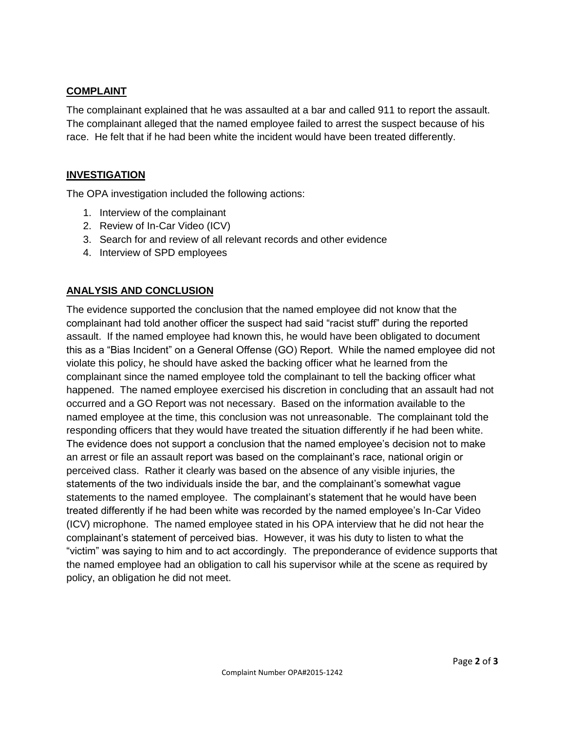## **COMPLAINT**

The complainant explained that he was assaulted at a bar and called 911 to report the assault. The complainant alleged that the named employee failed to arrest the suspect because of his race. He felt that if he had been white the incident would have been treated differently.

## **INVESTIGATION**

The OPA investigation included the following actions:

- 1. Interview of the complainant
- 2. Review of In-Car Video (ICV)
- 3. Search for and review of all relevant records and other evidence
- 4. Interview of SPD employees

## **ANALYSIS AND CONCLUSION**

The evidence supported the conclusion that the named employee did not know that the complainant had told another officer the suspect had said "racist stuff" during the reported assault. If the named employee had known this, he would have been obligated to document this as a "Bias Incident" on a General Offense (GO) Report. While the named employee did not violate this policy, he should have asked the backing officer what he learned from the complainant since the named employee told the complainant to tell the backing officer what happened. The named employee exercised his discretion in concluding that an assault had not occurred and a GO Report was not necessary. Based on the information available to the named employee at the time, this conclusion was not unreasonable. The complainant told the responding officers that they would have treated the situation differently if he had been white. The evidence does not support a conclusion that the named employee's decision not to make an arrest or file an assault report was based on the complainant's race, national origin or perceived class. Rather it clearly was based on the absence of any visible injuries, the statements of the two individuals inside the bar, and the complainant's somewhat vague statements to the named employee. The complainant's statement that he would have been treated differently if he had been white was recorded by the named employee's In-Car Video (ICV) microphone. The named employee stated in his OPA interview that he did not hear the complainant's statement of perceived bias. However, it was his duty to listen to what the "victim" was saying to him and to act accordingly. The preponderance of evidence supports that the named employee had an obligation to call his supervisor while at the scene as required by policy, an obligation he did not meet.